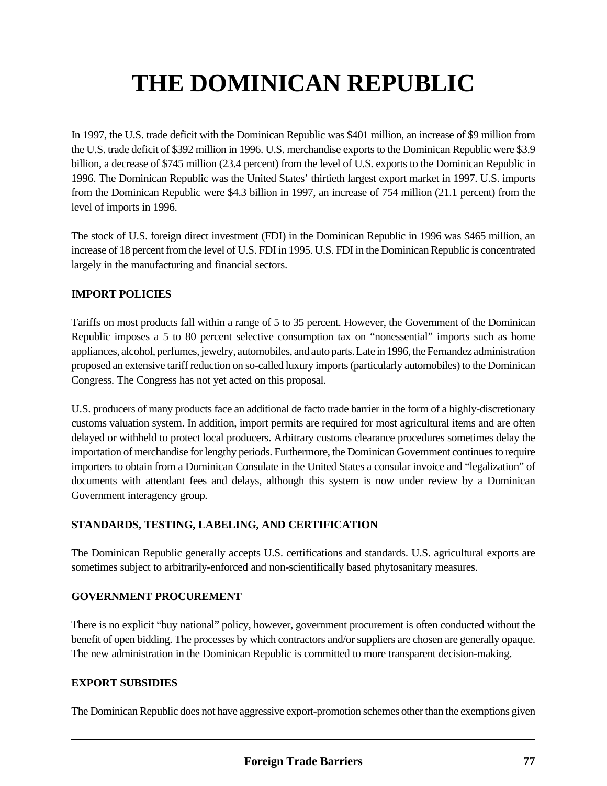# **THE DOMINICAN REPUBLIC**

In 1997, the U.S. trade deficit with the Dominican Republic was \$401 million, an increase of \$9 million from the U.S. trade deficit of \$392 million in 1996. U.S. merchandise exports to the Dominican Republic were \$3.9 billion, a decrease of \$745 million (23.4 percent) from the level of U.S. exports to the Dominican Republic in 1996. The Dominican Republic was the United States' thirtieth largest export market in 1997. U.S. imports from the Dominican Republic were \$4.3 billion in 1997, an increase of 754 million (21.1 percent) from the level of imports in 1996.

The stock of U.S. foreign direct investment (FDI) in the Dominican Republic in 1996 was \$465 million, an increase of 18 percent from the level of U.S. FDI in 1995. U.S. FDI in the Dominican Republic is concentrated largely in the manufacturing and financial sectors.

## **IMPORT POLICIES**

Tariffs on most products fall within a range of 5 to 35 percent. However, the Government of the Dominican Republic imposes a 5 to 80 percent selective consumption tax on "nonessential" imports such as home appliances, alcohol, perfumes, jewelry, automobiles, and auto parts. Late in 1996, the Fernandez administration proposed an extensive tariff reduction on so-called luxury imports (particularly automobiles) to the Dominican Congress. The Congress has not yet acted on this proposal.

U.S. producers of many products face an additional de facto trade barrier in the form of a highly-discretionary customs valuation system. In addition, import permits are required for most agricultural items and are often delayed or withheld to protect local producers. Arbitrary customs clearance procedures sometimes delay the importation of merchandise for lengthy periods. Furthermore, the Dominican Government continues to require importers to obtain from a Dominican Consulate in the United States a consular invoice and "legalization" of documents with attendant fees and delays, although this system is now under review by a Dominican Government interagency group.

## **STANDARDS, TESTING, LABELING, AND CERTIFICATION**

The Dominican Republic generally accepts U.S. certifications and standards. U.S. agricultural exports are sometimes subject to arbitrarily-enforced and non-scientifically based phytosanitary measures.

## **GOVERNMENT PROCUREMENT**

There is no explicit "buy national" policy, however, government procurement is often conducted without the benefit of open bidding. The processes by which contractors and/or suppliers are chosen are generally opaque. The new administration in the Dominican Republic is committed to more transparent decision-making.

## **EXPORT SUBSIDIES**

The Dominican Republic does not have aggressive export-promotion schemes other than the exemptions given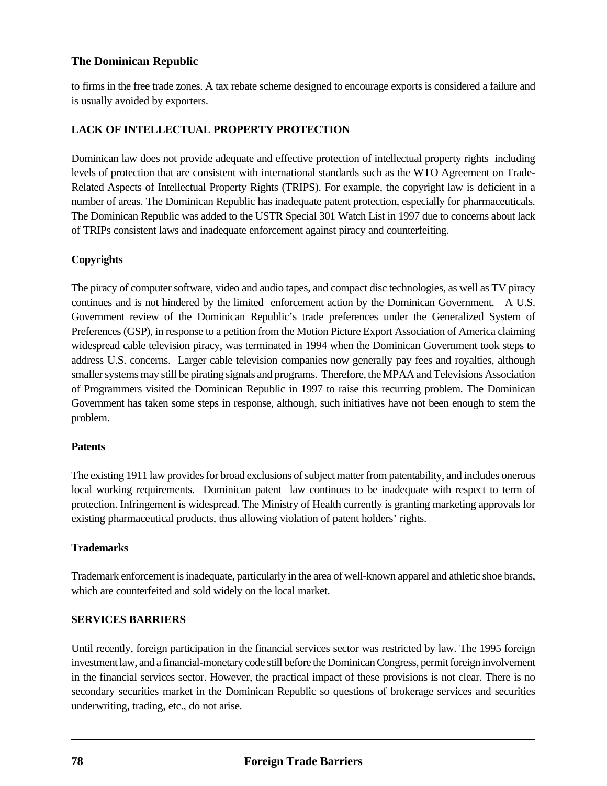## **The Dominican Republic**

to firms in the free trade zones. A tax rebate scheme designed to encourage exports is considered a failure and is usually avoided by exporters.

## **LACK OF INTELLECTUAL PROPERTY PROTECTION**

Dominican law does not provide adequate and effective protection of intellectual property rights including levels of protection that are consistent with international standards such as the WTO Agreement on Trade-Related Aspects of Intellectual Property Rights (TRIPS). For example, the copyright law is deficient in a number of areas. The Dominican Republic has inadequate patent protection, especially for pharmaceuticals. The Dominican Republic was added to the USTR Special 301 Watch List in 1997 due to concerns about lack of TRIPs consistent laws and inadequate enforcement against piracy and counterfeiting.

### **Copyrights**

The piracy of computer software, video and audio tapes, and compact disc technologies, as well as TV piracy continues and is not hindered by the limited enforcement action by the Dominican Government. A U.S. Government review of the Dominican Republic's trade preferences under the Generalized System of Preferences (GSP), in response to a petition from the Motion Picture Export Association of America claiming widespread cable television piracy, was terminated in 1994 when the Dominican Government took steps to address U.S. concerns. Larger cable television companies now generally pay fees and royalties, although smaller systems may still be pirating signals and programs. Therefore, the MPAA and Televisions Association of Programmers visited the Dominican Republic in 1997 to raise this recurring problem. The Dominican Government has taken some steps in response, although, such initiatives have not been enough to stem the problem.

#### **Patents**

The existing 1911 law provides for broad exclusions of subject matter from patentability, and includes onerous local working requirements. Dominican patent law continues to be inadequate with respect to term of protection. Infringement is widespread. The Ministry of Health currently is granting marketing approvals for existing pharmaceutical products, thus allowing violation of patent holders' rights.

#### **Trademarks**

Trademark enforcement is inadequate, particularly in the area of well-known apparel and athletic shoe brands, which are counterfeited and sold widely on the local market.

#### **SERVICES BARRIERS**

Until recently, foreign participation in the financial services sector was restricted by law. The 1995 foreign investment law, and a financial-monetary code still before the Dominican Congress, permit foreign involvement in the financial services sector. However, the practical impact of these provisions is not clear. There is no secondary securities market in the Dominican Republic so questions of brokerage services and securities underwriting, trading, etc., do not arise.